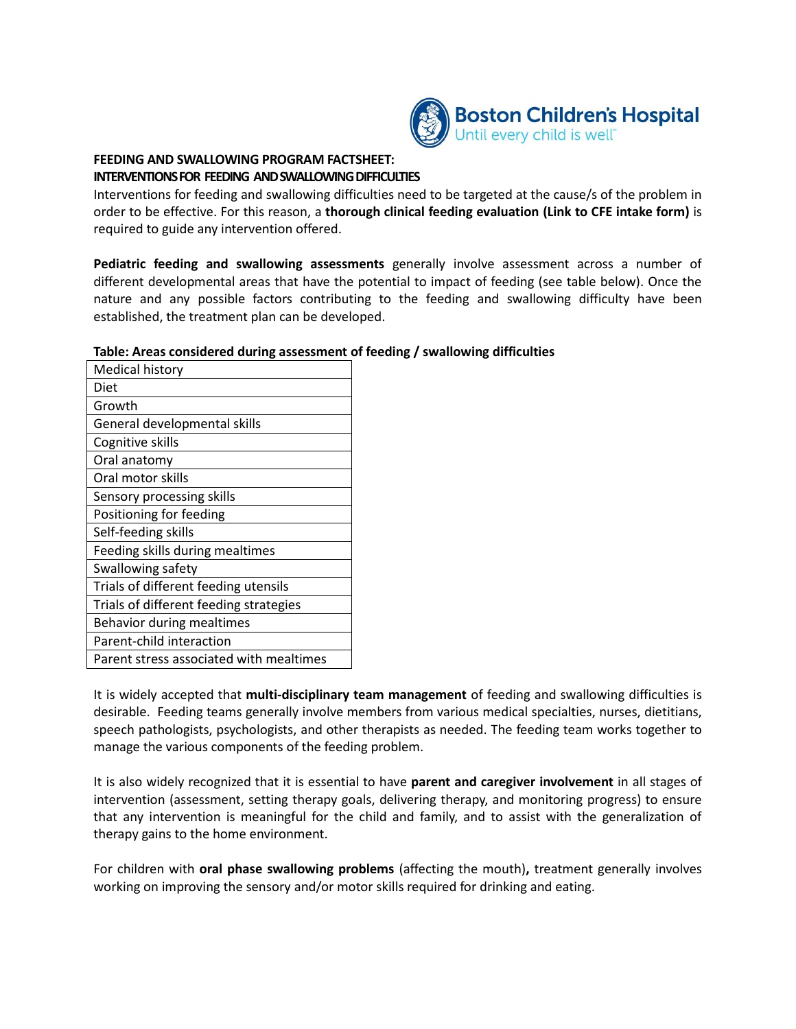

## **FEEDING AND SWALLOWING PROGRAM FACTSHEET: INTERVENTIONS FOR FEEDING AND SWALLOWING DIFFICULTIES**

Interventions for feeding and swallowing difficulties need to be targeted at the cause/s of the problem in order to be effective. For this reason, a **thorough clinical feeding evaluation (Link to CFE intake form)** is required to guide any intervention offered.

**Pediatric feeding and swallowing assessments** generally involve assessment across a number of different developmental areas that have the potential to impact of feeding (see table below). Once the nature and any possible factors contributing to the feeding and swallowing difficulty have been established, the treatment plan can be developed.

| iable. Areas considered during assessment t |
|---------------------------------------------|
| Medical history                             |
| Diet                                        |
| Growth                                      |
| General developmental skills                |
| Cognitive skills                            |
| Oral anatomy                                |
| Oral motor skills                           |
| Sensory processing skills                   |
| Positioning for feeding                     |
| Self-feeding skills                         |
| Feeding skills during mealtimes             |
| Swallowing safety                           |
| Trials of different feeding utensils        |
| Trials of different feeding strategies      |
| <b>Behavior during mealtimes</b>            |
| Parent-child interaction                    |
| Parent stress associated with mealtimes     |
|                                             |

**Table: Areas considered during assessment of feeding / swallowing difficulties**

It is widely accepted that **multi-disciplinary team management** of feeding and swallowing difficulties is desirable. Feeding teams generally involve members from various medical specialties, nurses, dietitians, speech pathologists, psychologists, and other therapists as needed. The feeding team works together to manage the various components of the feeding problem.

It is also widely recognized that it is essential to have **parent and caregiver involvement** in all stages of intervention (assessment, setting therapy goals, delivering therapy, and monitoring progress) to ensure that any intervention is meaningful for the child and family, and to assist with the generalization of therapy gains to the home environment.

For children with **oral phase swallowing problems** (affecting the mouth)**,** treatment generally involves working on improving the sensory and/or motor skills required for drinking and eating.